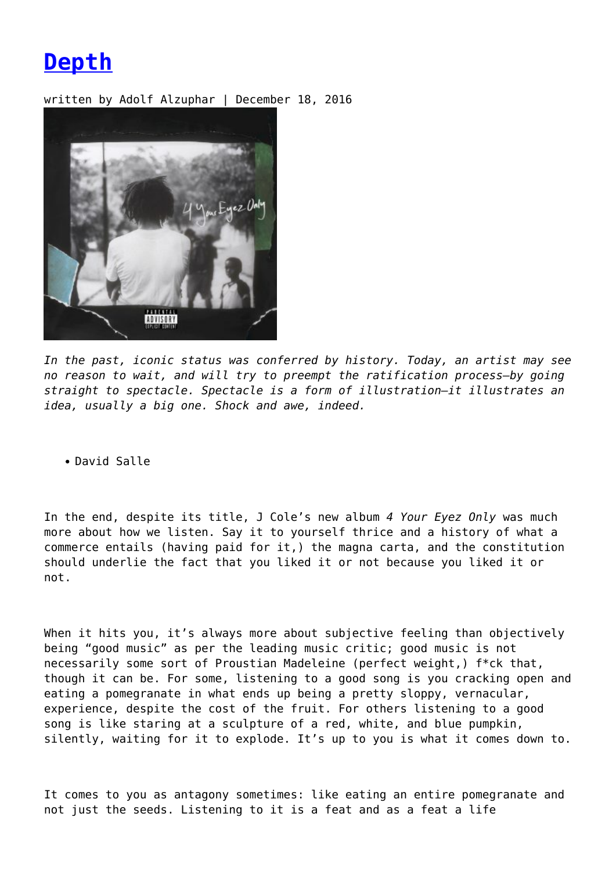**[Depth](https://entropymag.org/depth/)**

written by Adolf Alzuphar | December 18, 2016



*In the past, iconic status was conferred by history. Today, an artist may see no reason to wait, and will try to preempt the ratification process—by going straight to spectacle. Spectacle is a form of illustration—it illustrates an idea, usually a big one. Shock and awe, indeed.*

David Salle

In the end, despite its title, J Cole's new album *4 Your Eyez Only* was much more about how we listen. Say it to yourself thrice and a history of what a commerce entails (having paid for it,) the magna carta, and the constitution should underlie the fact that you liked it or not because you liked it or not.

When it hits you, it's always more about subjective feeling than objectively being "good music" as per the leading music critic; good music is not necessarily some sort of Proustian Madeleine (perfect weight,) f\*ck that, though it can be. For some, listening to a good song is you cracking open and eating a pomegranate in what ends up being a pretty sloppy, vernacular, experience, despite the cost of the fruit. For others listening to a good song is like staring at a sculpture of a red, white, and blue pumpkin, silently, waiting for it to explode. It's up to you is what it comes down to.

It comes to you as antagony sometimes: like eating an entire pomegranate and not just the seeds. Listening to it is a feat and as a feat a life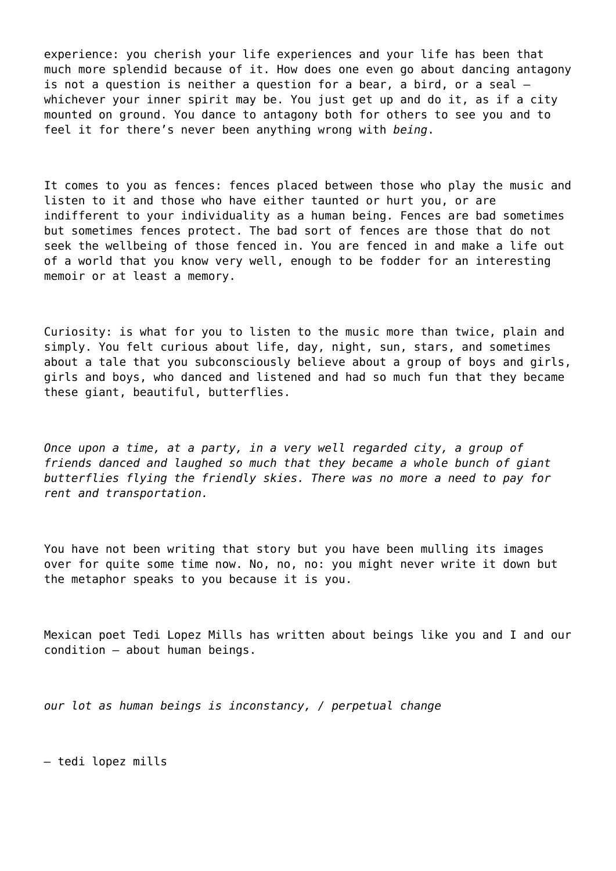experience: you cherish your life experiences and your life has been that much more splendid because of it. How does one even go about dancing antagony is not a question is neither a question for a bear, a bird, or a seal – whichever your inner spirit may be. You just get up and do it, as if a city mounted on ground. You dance to antagony both for others to see you and to feel it for there's never been anything wrong with *being*.

It comes to you as fences: fences placed between those who play the music and listen to it and those who have either taunted or hurt you, or are indifferent to your individuality as a human being. Fences are bad sometimes but sometimes fences protect. The bad sort of fences are those that do not seek the wellbeing of those fenced in. You are fenced in and make a life out of a world that you know very well, enough to be fodder for an interesting memoir or at least a memory.

Curiosity: is what for you to listen to the music more than twice, plain and simply. You felt curious about life, day, night, sun, stars, and sometimes about a tale that you subconsciously believe about a group of boys and girls, girls and boys, who danced and listened and had so much fun that they became these giant, beautiful, butterflies.

*Once upon a time, at a party, in a very well regarded city, a group of friends danced and laughed so much that they became a whole bunch of giant butterflies flying the friendly skies. There was no more a need to pay for rent and transportation.*

You have not been writing that story but you have been mulling its images over for quite some time now. No, no, no: you might never write it down but the metaphor speaks to you because it is you.

Mexican poet Tedi Lopez Mills has written about beings like you and I and our condition – about human beings.

*our lot as human beings is inconstancy, / perpetual change*

*–* tedi lopez mills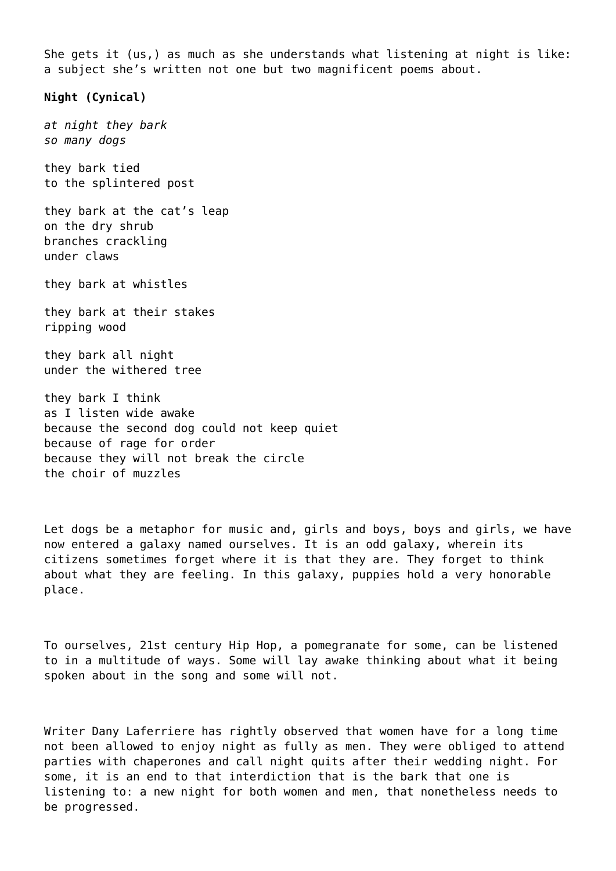She gets it (us,) as much as she understands what listening at night is like: a subject she's written not one but two magnificent poems about.

**Night (Cynical)**

*at night they bark so many dogs*

they bark tied to the splintered post

they bark at the cat's leap on the dry shrub branches crackling under claws

they bark at whistles

they bark at their stakes ripping wood

they bark all night under the withered tree

they bark I think as I listen wide awake because the second dog could not keep quiet because of rage for order because they will not break the circle the choir of muzzles

Let dogs be a metaphor for music and, girls and boys, boys and girls, we have now entered a galaxy named ourselves. It is an odd galaxy, wherein its citizens sometimes forget where it is that they are. They forget to think about what they are feeling. In this galaxy, puppies hold a very honorable place.

To ourselves, 21st century Hip Hop, a pomegranate for some, can be listened to in a multitude of ways. Some will lay awake thinking about what it being spoken about in the song and some will not.

Writer Dany Laferriere has rightly observed that women have for a long time not been allowed to enjoy night as fully as men. They were obliged to attend parties with chaperones and call night quits after their wedding night. For some, it is an end to that interdiction that is the bark that one is listening to: a new night for both women and men, that nonetheless needs to be progressed.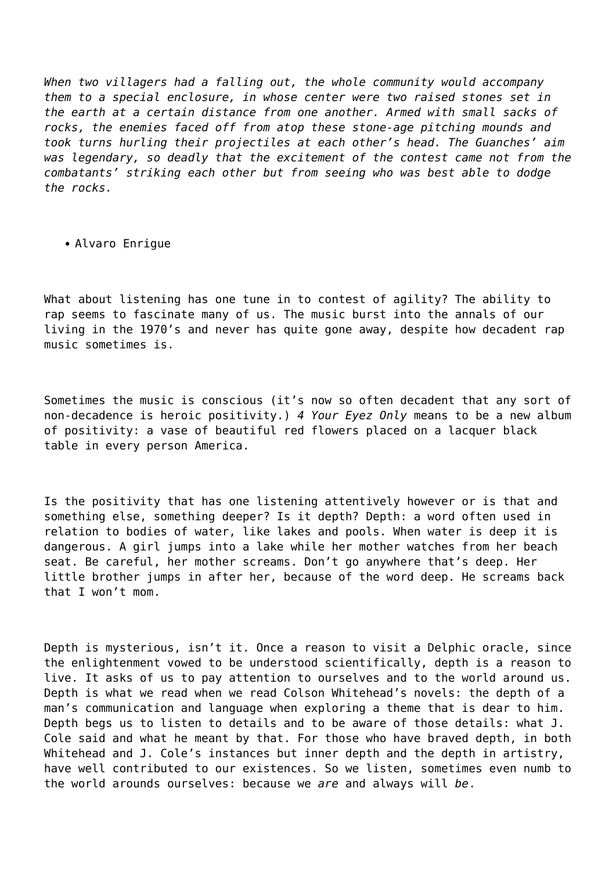*When two villagers had a falling out, the whole community would accompany them to a special enclosure, in whose center were two raised stones set in the earth at a certain distance from one another. Armed with small sacks of rocks, the enemies faced off from atop these stone-age pitching mounds and took turns hurling their projectiles at each other's head. The Guanches' aim was legendary, so deadly that the excitement of the contest came not from the combatants' striking each other but from seeing who was best able to dodge the rocks.*

Alvaro Enrigue

What about listening has one tune in to contest of agility? The ability to rap seems to fascinate many of us. The music burst into the annals of our living in the 1970's and never has quite gone away, despite how decadent rap music sometimes is.

Sometimes the music is conscious (it's now so often decadent that any sort of non-decadence is heroic positivity.) *4 Your Eyez Only* means to be a new album of positivity: a vase of beautiful red flowers placed on a lacquer black table in every person America.

Is the positivity that has one listening attentively however or is that and something else, something deeper? Is it depth? Depth: a word often used in relation to bodies of water, like lakes and pools. When water is deep it is dangerous. A girl jumps into a lake while her mother watches from her beach seat. Be careful, her mother screams. Don't go anywhere that's deep. Her little brother jumps in after her, because of the word deep. He screams back that I won't mom.

Depth is mysterious, isn't it. Once a reason to visit a Delphic oracle, since the enlightenment vowed to be understood scientifically, depth is a reason to live. It asks of us to pay attention to ourselves and to the world around us. Depth is what we read when we read Colson Whitehead's novels: the depth of a man's communication and language when exploring a theme that is dear to him. Depth begs us to listen to details and to be aware of those details: what J. Cole said and what he meant by that. For those who have braved depth, in both Whitehead and J. Cole's instances but inner depth and the depth in artistry, have well contributed to our existences. So we listen, sometimes even numb to the world arounds ourselves: because we *are* and always will *be*.